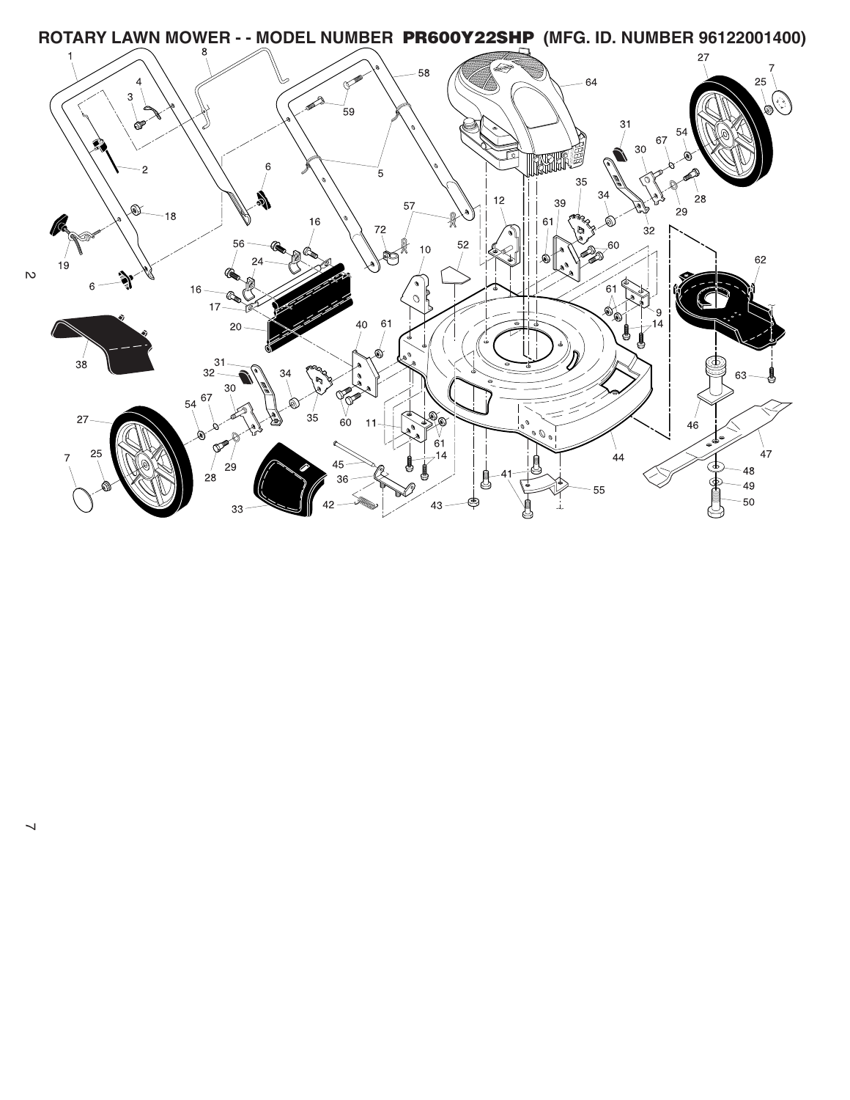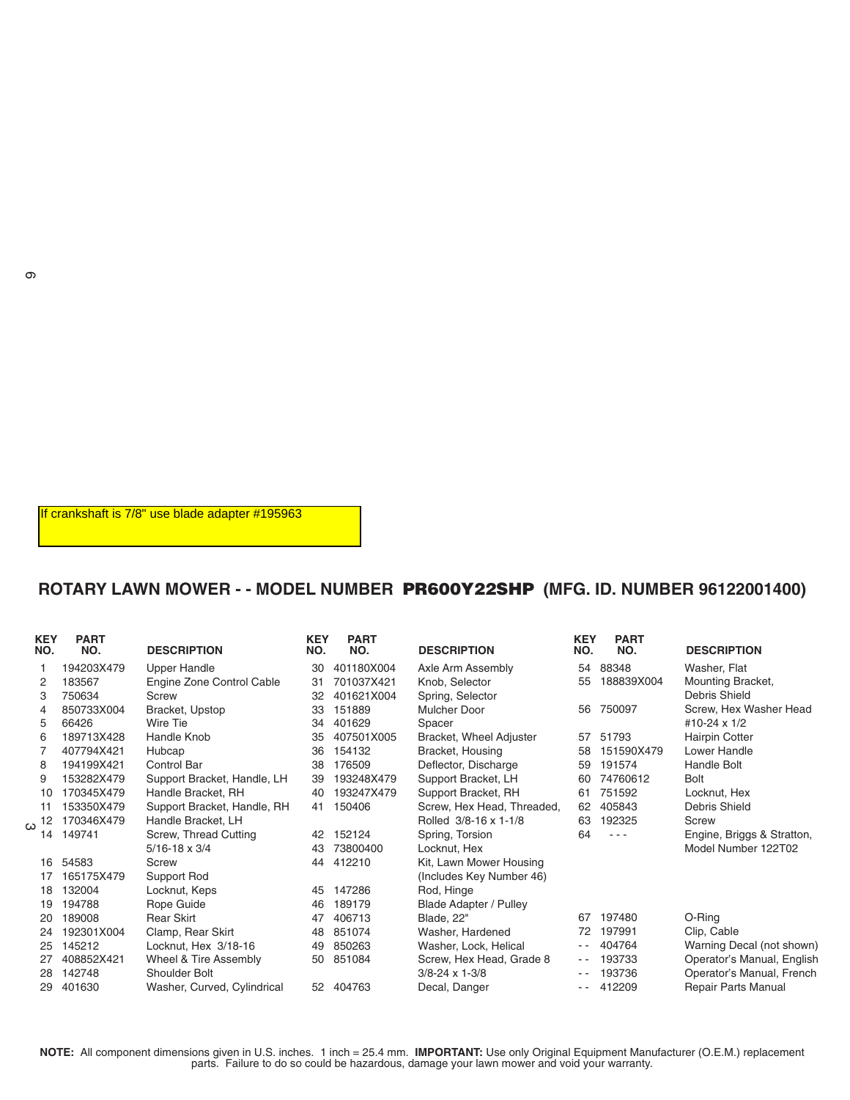If crankshaft is 7/8" use blade adapter #195963

## **ROTARY LAWN MOWER - - MODEL NUMBER PR600Y22SHP (MFG. ID. NUMBER 96122001400)**

| <b>KEY</b><br>NO. | <b>PART</b><br>NO. | <b>DESCRIPTION</b>          | <b>KEY</b><br>NO. | <b>PART</b><br>NO. | <b>DESCRIPTION</b>            | <b>KEY</b><br>NO. | <b>PART</b><br>NO. | <b>DESCRIPTION</b>         |
|-------------------|--------------------|-----------------------------|-------------------|--------------------|-------------------------------|-------------------|--------------------|----------------------------|
|                   | 194203X479         | <b>Upper Handle</b>         | 30                | 401180X004         | Axle Arm Assembly             | 54                | 88348              | Washer, Flat               |
| 2                 | 183567             | Engine Zone Control Cable   | 31                | 701037X421         | Knob, Selector                | 55                | 188839X004         | Mounting Bracket,          |
| 3                 | 750634             | Screw                       | 32                | 401621X004         | Spring, Selector              |                   |                    | Debris Shield              |
| 4                 | 850733X004         | Bracket, Upstop             | 33                | 151889             | <b>Mulcher Door</b>           | 56                | 750097             | Screw, Hex Washer Head     |
| 5                 | 66426              | Wire Tie                    | 34                | 401629             | Spacer                        |                   |                    | #10-24 x 1/2               |
| 6                 | 189713X428         | Handle Knob                 | 35                | 407501X005         | Bracket, Wheel Adjuster       | 57                | 51793              | <b>Hairpin Cotter</b>      |
|                   | 407794X421         | Hubcap                      | 36                | 154132             | Bracket, Housing              | 58                | 151590X479         | Lower Handle               |
| 8                 | 194199X421         | Control Bar                 | 38                | 176509             | Deflector, Discharge          | 59                | 191574             | Handle Bolt                |
| 9                 | 153282X479         | Support Bracket, Handle, LH | 39                | 193248X479         | Support Bracket, LH           | 60                | 74760612           | <b>Bolt</b>                |
| 10                | 170345X479         | Handle Bracket, RH          | 40                | 193247X479         | Support Bracket, RH           | 61                | 751592             | Locknut. Hex               |
| 11                | 153350X479         | Support Bracket, Handle, RH | 41                | 150406             | Screw, Hex Head, Threaded,    | 62                | 405843             | Debris Shield              |
| 12<br>ω           | 170346X479         | Handle Bracket, LH          |                   |                    | Rolled 3/8-16 x 1-1/8         | 63                | 192325             | <b>Screw</b>               |
| 14                | 149741             | Screw, Thread Cutting       | 42                | 152124             | Spring, Torsion               | 64                | $- - -$            | Engine, Briggs & Stratton, |
|                   |                    | $5/16 - 18 \times 3/4$      | 43                | 73800400           | Locknut, Hex                  |                   |                    | Model Number 122T02        |
| 16                | 54583              | Screw                       | 44                | 412210             | Kit, Lawn Mower Housing       |                   |                    |                            |
| 17                | 165175X479         | Support Rod                 |                   |                    | (Includes Key Number 46)      |                   |                    |                            |
| 18                | 132004             | Locknut, Keps               | 45                | 147286             | Rod, Hinge                    |                   |                    |                            |
| 19                | 194788             | Rope Guide                  | 46                | 189179             | <b>Blade Adapter / Pulley</b> |                   |                    |                            |
| 20                | 189008             | <b>Rear Skirt</b>           | 47                | 406713             | Blade, 22"                    | 67                | 197480             | O-Ring                     |
| 24                | 192301X004         | Clamp, Rear Skirt           | 48                | 851074             | Washer, Hardened              | 72                | 197991             | Clip, Cable                |
| 25                | 145212             | Locknut, Hex 3/18-16        | 49                | 850263             | Washer, Lock, Helical         |                   | 404764             | Warning Decal (not shown)  |
| 27                | 408852X421         | Wheel & Tire Assembly       | 50                | 851084             | Screw, Hex Head, Grade 8      | $ -$              | 193733             | Operator's Manual, English |
| 28                | 142748             | Shoulder Bolt               |                   |                    | $3/8 - 24 \times 1 - 3/8$     | $ -$              | 193736             | Operator's Manual, French  |
| 29                | 401630             | Washer, Curved, Cylindrical | 52                | 404763             | Decal, Danger                 | $ -$              | 412209             | Repair Parts Manual        |
|                   |                    |                             |                   |                    |                               |                   |                    |                            |